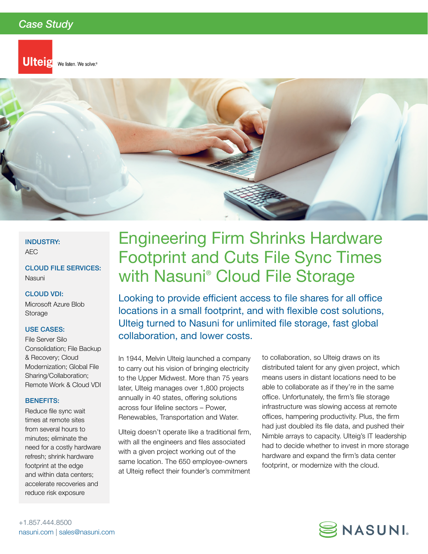# *Case Study*



We listen. We solve.<sup>®</sup>



# INDUSTRY:

AEC

CLOUD FILE SERVICES: Nasuni

#### CLOUD VDI:

Microsoft Azure Blob Storage

### USE CASES:

File Server Silo Consolidation; File Backup & Recovery; Cloud Modernization; Global File Sharing/Collaboration; Remote Work & Cloud VDI

### BENEFITS:

Reduce file sync wait times at remote sites from several hours to minutes; eliminate the need for a costly hardware refresh; shrink hardware footprint at the edge and within data centers; accelerate recoveries and reduce risk exposure

# Engineering Firm Shrinks Hardware Footprint and Cuts File Sync Times with Nasuni® Cloud File Storage

Looking to provide efficient access to file shares for all office locations in a small footprint, and with flexible cost solutions, Ulteig turned to Nasuni for unlimited file storage, fast global collaboration, and lower costs.

In 1944, Melvin Ulteig launched a company to carry out his vision of bringing electricity to the Upper Midwest. More than 75 years later, Ulteig manages over 1,800 projects annually in 40 states, offering solutions across four lifeline sectors – Power, Renewables, Transportation and Water.

Ulteig doesn't operate like a traditional firm, with all the engineers and files associated with a given project working out of the same location. The 650 employee-owners at Ulteig reflect their founder's commitment

to collaboration, so Ulteig draws on its distributed talent for any given project, which means users in distant locations need to be able to collaborate as if they're in the same office. Unfortunately, the firm's file storage infrastructure was slowing access at remote offices, hampering productivity. Plus, the firm had just doubled its file data, and pushed their Nimble arrays to capacity. Ulteig's IT leadership had to decide whether to invest in more storage hardware and expand the firm's data center footprint, or modernize with the cloud.

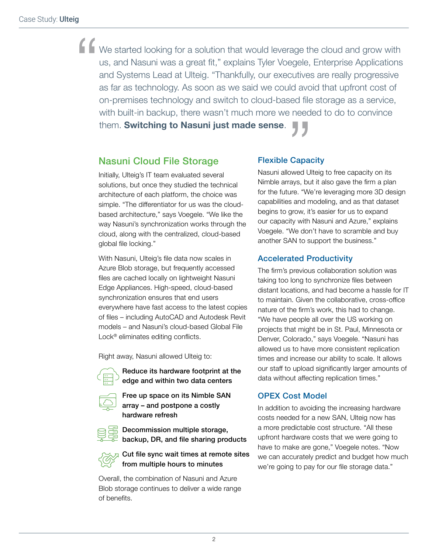We started looking for a solution that would leverage the cloud and grow with us, and Nasuni was a great fit," explains Tyler Voegele, Enterprise Applications and Systems Lead at Ulteig. "Thankfully, our executives are really progressive as far as technology. As soon as we said we could avoid that upfront cost of on-premises technology and switch to cloud-based file storage as a service, with built-in backup, there wasn't much more we needed to do to convince them. Switching to Nasuni just made sense. with built-in backup, there wasn't much more we needed to do to convince them. **Switching to Nasuni just made sense**. "

# Nasuni Cloud File Storage

Initially, Ulteig's IT team evaluated several solutions, but once they studied the technical architecture of each platform, the choice was simple. "The differentiator for us was the cloudbased architecture," says Voegele. "We like the way Nasuni's synchronization works through the cloud, along with the centralized, cloud-based global file locking."

With Nasuni, Ulteig's file data now scales in Azure Blob storage, but frequently accessed files are cached locally on lightweight Nasuni Edge Appliances. High-speed, cloud-based synchronization ensures that end users everywhere have fast access to the latest copies of files – including AutoCAD and Autodesk Revit models – and Nasuni's cloud-based Global File Lock<sup>®</sup> eliminates editing conflicts.

Right away, Nasuni allowed Ulteig to:



Reduce its hardware footprint at the edge and within two data centers

Free up space on its Nimble SAN array – and postpone a costly hardware refresh



Decommission multiple storage, backup, DR, and file sharing products



Cut file sync wait times at remote sites from multiple hours to minutes

Overall, the combination of Nasuni and Azure Blob storage continues to deliver a wide range of benefits.

# Flexible Capacity

Nasuni allowed Ulteig to free capacity on its Nimble arrays, but it also gave the firm a plan for the future. "We're leveraging more 3D design capabilities and modeling, and as that dataset begins to grow, it's easier for us to expand our capacity with Nasuni and Azure," explains Voegele. "We don't have to scramble and buy another SAN to support the business."

# Accelerated Productivity

The firm's previous collaboration solution was taking too long to synchronize files between distant locations, and had become a hassle for IT to maintain. Given the collaborative, cross-office nature of the firm's work, this had to change. "We have people all over the US working on projects that might be in St. Paul, Minnesota or Denver, Colorado," says Voegele. "Nasuni has allowed us to have more consistent replication times and increase our ability to scale. It allows our staff to upload significantly larger amounts of data without affecting replication times."

## OPEX Cost Model

In addition to avoiding the increasing hardware costs needed for a new SAN, Ulteig now has a more predictable cost structure. "All these upfront hardware costs that we were going to have to make are gone," Voegele notes. "Now we can accurately predict and budget how much we're going to pay for our file storage data."